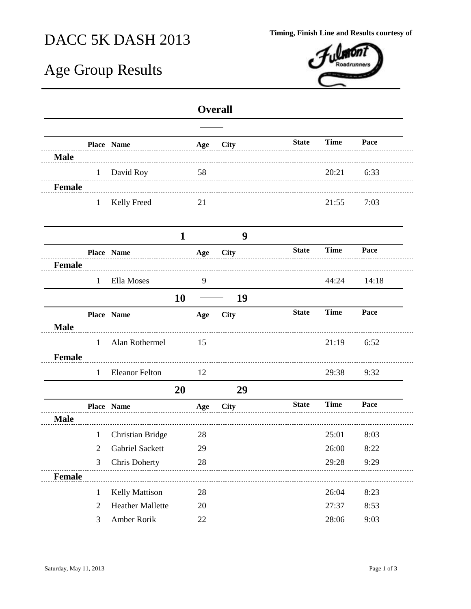## DACC 5K DASH 2013 **Timing, Finish Line and Results courtesy of**

## Age Group Results



## **Overall**

|               |                | Place Name              |              | Age | <b>City</b> | <b>State</b> | <b>Time</b> | Pace  |
|---------------|----------------|-------------------------|--------------|-----|-------------|--------------|-------------|-------|
| <b>Male</b>   |                |                         |              |     |             |              |             |       |
|               | $\mathbf{1}$   | David Roy               |              | 58  |             |              | 20:21       | 6:33  |
| <b>Female</b> |                |                         |              |     |             |              |             |       |
|               | $\mathbf{1}$   | Kelly Freed             |              | 21  |             |              | 21:55       | 7:03  |
|               |                |                         |              |     |             |              |             |       |
|               |                |                         | $\mathbf{1}$ |     | 9           |              |             |       |
|               |                | Place Name              |              | Age | <b>City</b> | <b>State</b> | <b>Time</b> | Pace  |
| <b>Female</b> |                |                         |              |     |             |              |             |       |
|               | $\mathbf{1}$   | Ella Moses              |              | 9   |             |              | 44:24       | 14:18 |
|               |                |                         | 10           |     | 19          |              |             |       |
|               |                | Place Name              |              | Age | <b>City</b> | <b>State</b> | <b>Time</b> | Pace  |
| <b>Male</b>   |                |                         |              |     |             |              |             |       |
|               | $\mathbf{1}$   | Alan Rothermel          |              | 15  |             |              | 21:19       | 6:52  |
| <b>Female</b> |                |                         |              |     |             |              |             |       |
|               | $\mathbf{1}$   | <b>Eleanor Felton</b>   |              | 12  |             |              | 29:38       | 9:32  |
|               |                |                         | 20           |     | 29          |              |             |       |
|               |                | Place Name              |              | Age | <b>City</b> | <b>State</b> | <b>Time</b> | Pace  |
| <b>Male</b>   |                |                         |              |     |             |              |             |       |
|               | $\mathbf{1}$   | <b>Christian Bridge</b> |              | 28  |             |              | 25:01       | 8:03  |
|               | $\overline{2}$ | Gabriel Sackett         |              | 29  |             |              | 26:00       | 8:22  |
|               | 3              | Chris Doherty           |              | 28  |             |              | 29:28       | 9:29  |
| <b>Female</b> |                |                         |              |     |             |              |             |       |
|               | 1              | Kelly Mattison          |              | 28  |             |              | 26:04       | 8:23  |
|               | 2              | <b>Heather Mallette</b> |              | 20  |             |              | 27:37       | 8:53  |
|               | 3              | Amber Rorik             |              | 22  |             |              | 28:06       | 9:03  |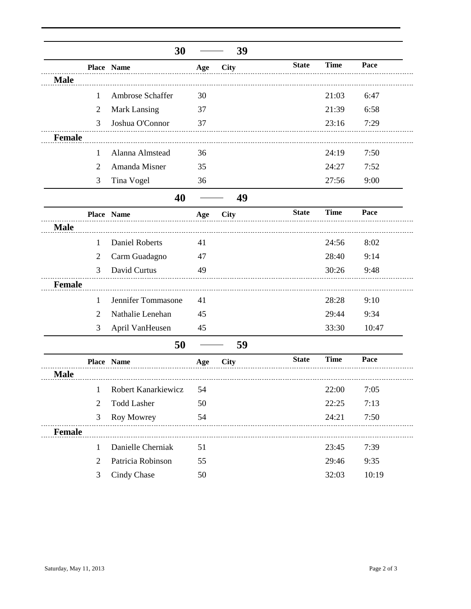|               |                | 30                    |     | 39                                |              |             |       |
|---------------|----------------|-----------------------|-----|-----------------------------------|--------------|-------------|-------|
|               |                | Place Name            | Age | City                              | <b>State</b> | <b>Time</b> | Pace  |
| <b>Male</b>   |                |                       |     |                                   |              |             |       |
|               | $\mathbf{1}$   | Ambrose Schaffer      | 30  |                                   |              | 21:03       | 6:47  |
|               | $\overline{2}$ | Mark Lansing          | 37  |                                   |              | 21:39       | 6:58  |
|               | 3              | Joshua O'Connor       | 37  |                                   |              | 23:16       | 7:29  |
| <b>Female</b> |                |                       |     |                                   |              |             |       |
|               | 1              | Alanna Almstead       | 36  |                                   |              | 24:19       | 7:50  |
|               | 2              | Amanda Misner         | 35  |                                   |              | 24:27       | 7:52  |
|               | 3              | Tina Vogel            | 36  |                                   |              | 27:56       | 9:00  |
|               |                | 40                    |     | 49                                |              |             |       |
|               |                | Place Name            | Age | <b>City</b>                       | <b>State</b> | <b>Time</b> | Pace  |
| <b>Male</b>   |                |                       |     |                                   |              |             |       |
|               | $\mathbf{1}$   | <b>Daniel Roberts</b> | 41  |                                   |              | 24:56       | 8:02  |
|               | $\overline{2}$ | Carm Guadagno         | 47  |                                   |              | 28:40       | 9:14  |
|               | 3              | David Curtus          | 49  |                                   |              | 30:26       | 9:48  |
| <b>Female</b> |                |                       |     |                                   |              |             |       |
|               | 1              | Jennifer Tommasone    | 41  |                                   |              | 28:28       | 9:10  |
|               | 2              | Nathalie Lenehan      | 45  |                                   |              | 29:44       | 9:34  |
|               | 3              | April VanHeusen       | 45  |                                   |              | 33:30       | 10:47 |
|               |                | 50                    |     | 59                                |              |             |       |
|               |                | Place Name            | Age | <b>City</b>                       | <b>State</b> | <b>Time</b> | Pace  |
| <b>Male</b>   |                |                       |     |                                   |              |             |       |
|               | $\mathbf{1}$   | Robert Kanarkiewicz   | 54  |                                   |              | 22:00       | 7:05  |
|               | $\overline{2}$ | <b>Todd Lasher</b>    | 50  |                                   |              | 22:25       | 7:13  |
|               | 3              | Roy Mowrey            | 54  |                                   |              | 24:21       | 7:50  |
| Female        |                |                       |     | _________________________________ |              |             |       |
|               | $\mathbf{1}$   | Danielle Cherniak     | 51  |                                   |              | 23:45       | 7:39  |
|               | $\overline{2}$ | Patricia Robinson     | 55  |                                   |              | 29:46       | 9:35  |
|               | 3              | Cindy Chase           | 50  |                                   |              | 32:03       | 10:19 |